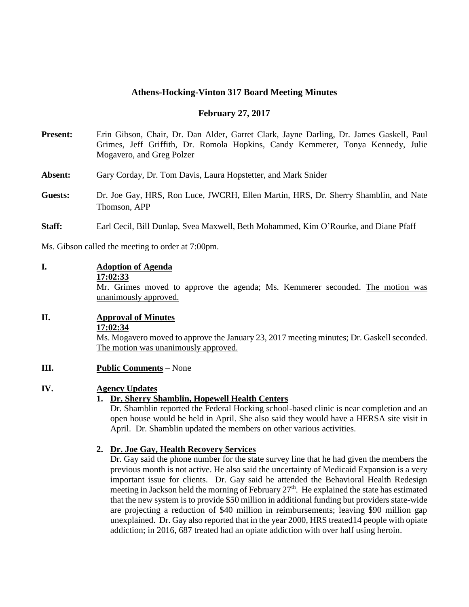## **Athens-Hocking-Vinton 317 Board Meeting Minutes**

#### **February 27, 2017**

- **Present:** Erin Gibson, Chair, Dr. Dan Alder, Garret Clark, Jayne Darling, Dr. James Gaskell, Paul Grimes, Jeff Griffith, Dr. Romola Hopkins, Candy Kemmerer, Tonya Kennedy, Julie Mogavero, and Greg Polzer
- **Absent:** Gary Corday, Dr. Tom Davis, Laura Hopstetter, and Mark Snider
- **Guests:** Dr. Joe Gay, HRS, Ron Luce, JWCRH, Ellen Martin, HRS, Dr. Sherry Shamblin, and Nate Thomson, APP
- **Staff:** Earl Cecil, Bill Dunlap, Svea Maxwell, Beth Mohammed, Kim O'Rourke, and Diane Pfaff

Ms. Gibson called the meeting to order at 7:00pm.

# **I. Adoption of Agenda**

**17:02:33**

Mr. Grimes moved to approve the agenda; Ms. Kemmerer seconded. The motion was unanimously approved.

# **II. Approval of Minutes**

**17:02:34**

Ms. Mogavero moved to approve the January 23, 2017 meeting minutes; Dr. Gaskell seconded. The motion was unanimously approved.

**III. Public Comments** – None

## **IV. Agency Updates**

## **1. Dr. Sherry Shamblin, Hopewell Health Centers**

Dr. Shamblin reported the Federal Hocking school-based clinic is near completion and an open house would be held in April. She also said they would have a HERSA site visit in April. Dr. Shamblin updated the members on other various activities.

#### **2. Dr. Joe Gay, Health Recovery Services**

Dr. Gay said the phone number for the state survey line that he had given the members the previous month is not active. He also said the uncertainty of Medicaid Expansion is a very important issue for clients. Dr. Gay said he attended the Behavioral Health Redesign meeting in Jackson held the morning of February 27<sup>th</sup>. He explained the state has estimated that the new system is to provide \$50 million in additional funding but providers state-wide are projecting a reduction of \$40 million in reimbursements; leaving \$90 million gap unexplained. Dr. Gay also reported that in the year 2000, HRS treated14 people with opiate addiction; in 2016, 687 treated had an opiate addiction with over half using heroin.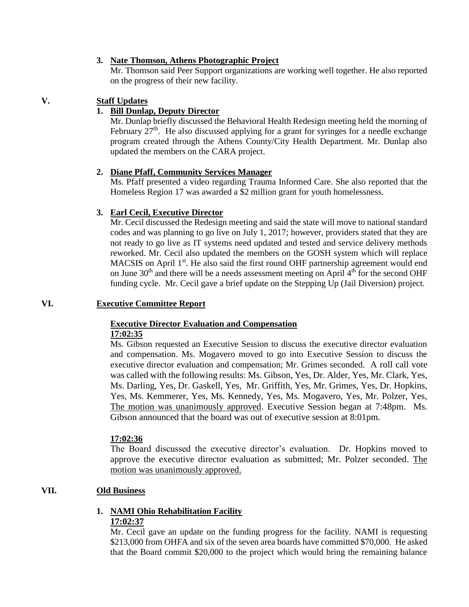#### **3. Nate Thomson, Athens Photographic Project**

Mr. Thomson said Peer Support organizations are working well together. He also reported on the progress of their new facility.

# **V. Staff Updates**

# **1. Bill Dunlap, Deputy Director**

Mr. Dunlap briefly discussed the Behavioral Health Redesign meeting held the morning of February  $27<sup>th</sup>$ . He also discussed applying for a grant for syringes for a needle exchange program created through the Athens County/City Health Department. Mr. Dunlap also updated the members on the CARA project.

## **2. Diane Pfaff, Community Services Manager**

Ms. Pfaff presented a video regarding Trauma Informed Care. She also reported that the Homeless Region 17 was awarded a \$2 million grant for youth homelessness.

## **3. Earl Cecil, Executive Director**

Mr. Cecil discussed the Redesign meeting and said the state will move to national standard codes and was planning to go live on July 1, 2017; however, providers stated that they are not ready to go live as IT systems need updated and tested and service delivery methods reworked. Mr. Cecil also updated the members on the GOSH system which will replace MACSIS on April 1<sup>st</sup>. He also said the first round OHF partnership agreement would end on June  $30<sup>th</sup>$  and there will be a needs assessment meeting on April  $4<sup>th</sup>$  for the second OHF funding cycle. Mr. Cecil gave a brief update on the Stepping Up (Jail Diversion) project.

## **VI. Executive Committee Report**

#### **Executive Director Evaluation and Compensation 17:02:35**

Ms. Gibson requested an Executive Session to discuss the executive director evaluation and compensation. Ms. Mogavero moved to go into Executive Session to discuss the executive director evaluation and compensation; Mr. Grimes seconded. A roll call vote was called with the following results: Ms. Gibson, Yes, Dr. Alder, Yes, Mr. Clark, Yes, Ms. Darling, Yes, Dr. Gaskell, Yes, Mr. Griffith, Yes, Mr. Grimes, Yes, Dr. Hopkins, Yes, Ms. Kemmerer, Yes, Ms. Kennedy, Yes, Ms. Mogavero, Yes, Mr. Polzer, Yes, The motion was unanimously approved. Executive Session began at 7:48pm. Ms. Gibson announced that the board was out of executive session at 8:01pm.

## **17:02:36**

The Board discussed the executive director's evaluation. Dr. Hopkins moved to approve the executive director evaluation as submitted; Mr. Polzer seconded. The motion was unanimously approved.

## **VII. Old Business**

# **1. NAMI Ohio Rehabilitation Facility**

## **17:02:37**

Mr. Cecil gave an update on the funding progress for the facility. NAMI is requesting \$213,000 from OHFA and six of the seven area boards have committed \$70,000. He asked that the Board commit \$20,000 to the project which would bring the remaining balance